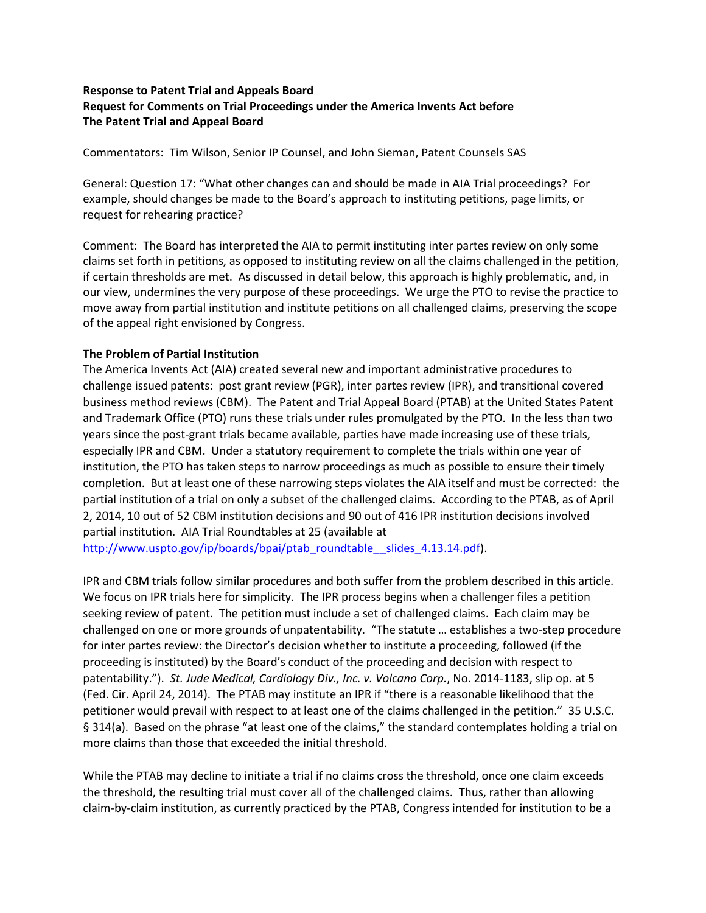## **Response to Patent Trial and Appeals Board Request for Comments on Trial Proceedings under the America Invents Act before The Patent Trial and Appeal Board**

Commentators: Tim Wilson, Senior IP Counsel, and John Sieman, Patent Counsels SAS

General: Question 17: "What other changes can and should be made in AIA Trial proceedings? For example, should changes be made to the Board's approach to instituting petitions, page limits, or request for rehearing practice?

Comment: The Board has interpreted the AIA to permit instituting inter partes review on only some claims set forth in petitions, as opposed to instituting review on all the claims challenged in the petition, if certain thresholds are met. As discussed in detail below, this approach is highly problematic, and, in our view, undermines the very purpose of these proceedings. We urge the PTO to revise the practice to move away from partial institution and institute petitions on all challenged claims, preserving the scope of the appeal right envisioned by Congress.

## **The Problem of Partial Institution**

The America Invents Act (AIA) created several new and important administrative procedures to challenge issued patents: post grant review (PGR), inter partes review (IPR), and transitional covered business method reviews (CBM). The Patent and Trial Appeal Board (PTAB) at the United States Patent and Trademark Office (PTO) runs these trials under rules promulgated by the PTO. In the less than two years since the post-grant trials became available, parties have made increasing use of these trials, especially IPR and CBM. Under a statutory requirement to complete the trials within one year of institution, the PTO has taken steps to narrow proceedings as much as possible to ensure their timely completion. But at least one of these narrowing steps violates the AIA itself and must be corrected: the partial institution of a trial on only a subset of the challenged claims. According to the PTAB, as of April 2, 2014, 10 out of 52 CBM institution decisions and 90 out of 416 IPR institution decisions involved partial institution. AIA Trial Roundtables at 25 (available at

http://www.uspto.gov/ip/boards/bpai/ptab\_roundtable\_slides\_4.13.14.pdf).

IPR and CBM trials follow similar procedures and both suffer from the problem described in this article. We focus on IPR trials here for simplicity. The IPR process begins when a challenger files a petition seeking review of patent. The petition must include a set of challenged claims. Each claim may be challenged on one or more grounds of unpatentability. "The statute … establishes a two-step procedure for inter partes review: the Director's decision whether to institute a proceeding, followed (if the proceeding is instituted) by the Board's conduct of the proceeding and decision with respect to patentability."). *St. Jude Medical, Cardiology Div., Inc. v. Volcano Corp.*, No. 2014-1183, slip op. at 5 (Fed. Cir. April 24, 2014). The PTAB may institute an IPR if "there is a reasonable likelihood that the petitioner would prevail with respect to at least one of the claims challenged in the petition." 35 U.S.C. § 314(a). Based on the phrase "at least one of the claims," the standard contemplates holding a trial on more claims than those that exceeded the initial threshold.

While the PTAB may decline to initiate a trial if no claims cross the threshold, once one claim exceeds the threshold, the resulting trial must cover all of the challenged claims. Thus, rather than allowing claim-by-claim institution, as currently practiced by the PTAB, Congress intended for institution to be a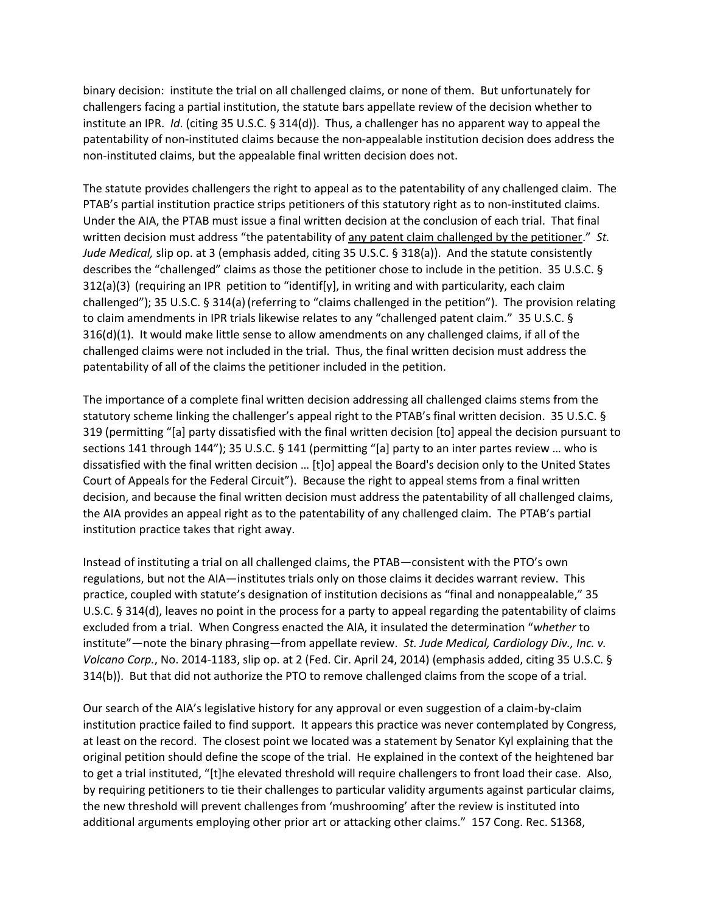binary decision: institute the trial on all challenged claims, or none of them. But unfortunately for challengers facing a partial institution, the statute bars appellate review of the decision whether to institute an IPR. *Id*. (citing 35 U.S.C. § 314(d)). Thus, a challenger has no apparent way to appeal the patentability of non-instituted claims because the non-appealable institution decision does address the non-instituted claims, but the appealable final written decision does not.

The statute provides challengers the right to appeal as to the patentability of any challenged claim. The PTAB's partial institution practice strips petitioners of this statutory right as to non-instituted claims. Under the AIA, the PTAB must issue a final written decision at the conclusion of each trial. That final written decision must address "the patentability of any patent claim challenged by the petitioner." *St. Jude Medical,* slip op. at 3 (emphasis added, citing 35 U.S.C. § 318(a)). And the statute consistently describes the "challenged" claims as those the petitioner chose to include in the petition. 35 U.S.C. § 312(a)(3) (requiring an IPR petition to "identif[y], in writing and with particularity, each claim challenged"); 35 U.S.C. § 314(a) (referring to "claims challenged in the petition"). The provision relating to claim amendments in IPR trials likewise relates to any "challenged patent claim." 35 U.S.C. § 316(d)(1). It would make little sense to allow amendments on any challenged claims, if all of the challenged claims were not included in the trial. Thus, the final written decision must address the patentability of all of the claims the petitioner included in the petition.

The importance of a complete final written decision addressing all challenged claims stems from the statutory scheme linking the challenger's appeal right to the PTAB's final written decision. 35 U.S.C. § 319 (permitting "[a] party dissatisfied with the final written decision [to] appeal the decision pursuant to sections 141 through 144"); 35 U.S.C. § 141 (permitting "[a] party to an inter partes review … who is dissatisfied with the final written decision … [t]o] appeal the Board's decision only to the United States Court of Appeals for the Federal Circuit"). Because the right to appeal stems from a final written decision, and because the final written decision must address the patentability of all challenged claims, the AIA provides an appeal right as to the patentability of any challenged claim. The PTAB's partial institution practice takes that right away.

Instead of instituting a trial on all challenged claims, the PTAB—consistent with the PTO's own regulations, but not the AIA—institutes trials only on those claims it decides warrant review. This practice, coupled with statute's designation of institution decisions as "final and nonappealable," 35 U.S.C. § 314(d), leaves no point in the process for a party to appeal regarding the patentability of claims excluded from a trial. When Congress enacted the AIA, it insulated the determination "*whether* to institute"—note the binary phrasing—from appellate review. *St. Jude Medical, Cardiology Div., Inc. v. Volcano Corp.*, No. 2014-1183, slip op. at 2 (Fed. Cir. April 24, 2014) (emphasis added, citing 35 U.S.C. § 314(b)). But that did not authorize the PTO to remove challenged claims from the scope of a trial.

Our search of the AIA's legislative history for any approval or even suggestion of a claim-by-claim institution practice failed to find support. It appears this practice was never contemplated by Congress, at least on the record. The closest point we located was a statement by Senator Kyl explaining that the original petition should define the scope of the trial. He explained in the context of the heightened bar to get a trial instituted, "[t]he elevated threshold will require challengers to front load their case. Also, by requiring petitioners to tie their challenges to particular validity arguments against particular claims, the new threshold will prevent challenges from 'mushrooming' after the review is instituted into additional arguments employing other prior art or attacking other claims." 157 Cong. Rec. S1368,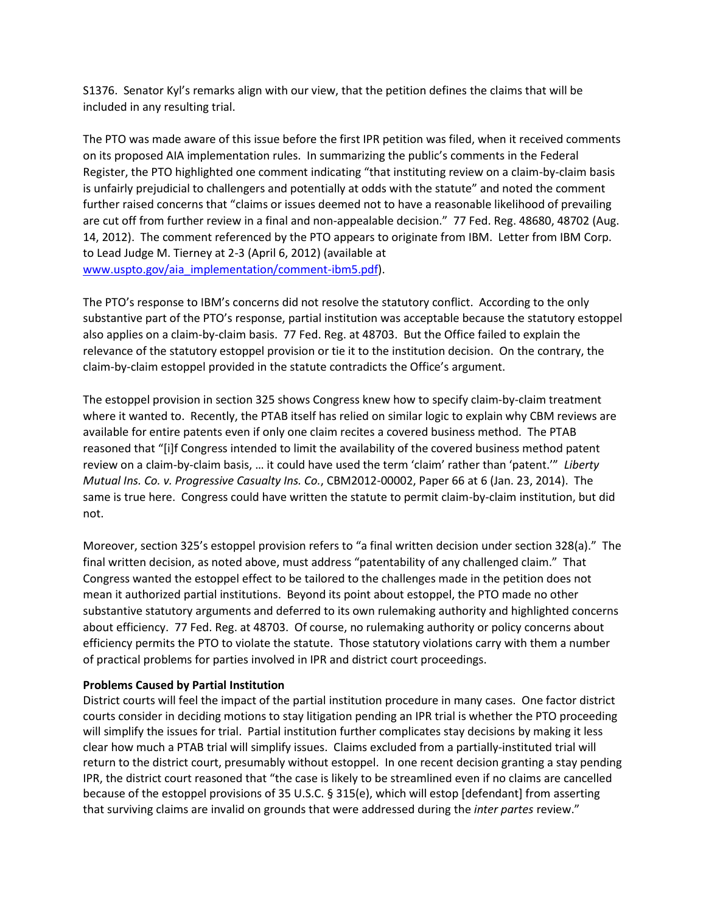S1376. Senator Kyl's remarks align with our view, that the petition defines the claims that will be included in any resulting trial.

The PTO was made aware of this issue before the first IPR petition was filed, when it received comments on its proposed AIA implementation rules. In summarizing the public's comments in the Federal Register, the PTO highlighted one comment indicating "that instituting review on a claim-by-claim basis is unfairly prejudicial to challengers and potentially at odds with the statute" and noted the comment further raised concerns that "claims or issues deemed not to have a reasonable likelihood of prevailing are cut off from further review in a final and non-appealable decision." 77 Fed. Reg. 48680, 48702 (Aug. 14, 2012). The comment referenced by the PTO appears to originate from IBM. Letter from IBM Corp. to Lead Judge M. Tierney at 2-3 (April 6, 2012) (available at [www.uspto.gov/aia\\_implementation/comment-ibm5.pdf\)](http://www.uspto.gov/aia_implementation/comment-ibm5.pdf).

The PTO's response to IBM's concerns did not resolve the statutory conflict. According to the only substantive part of the PTO's response, partial institution was acceptable because the statutory estoppel also applies on a claim-by-claim basis. 77 Fed. Reg. at 48703. But the Office failed to explain the relevance of the statutory estoppel provision or tie it to the institution decision. On the contrary, the claim-by-claim estoppel provided in the statute contradicts the Office's argument.

The estoppel provision in section 325 shows Congress knew how to specify claim-by-claim treatment where it wanted to. Recently, the PTAB itself has relied on similar logic to explain why CBM reviews are available for entire patents even if only one claim recites a covered business method. The PTAB reasoned that "[i]f Congress intended to limit the availability of the covered business method patent review on a claim-by-claim basis, … it could have used the term 'claim' rather than 'patent.'" *Liberty Mutual Ins. Co. v. Progressive Casualty Ins. Co.*, CBM2012-00002, Paper 66 at 6 (Jan. 23, 2014). The same is true here. Congress could have written the statute to permit claim-by-claim institution, but did not.

Moreover, section 325's estoppel provision refers to "a final written decision under section 328(a)." The final written decision, as noted above, must address "patentability of any challenged claim." That Congress wanted the estoppel effect to be tailored to the challenges made in the petition does not mean it authorized partial institutions. Beyond its point about estoppel, the PTO made no other substantive statutory arguments and deferred to its own rulemaking authority and highlighted concerns about efficiency. 77 Fed. Reg. at 48703. Of course, no rulemaking authority or policy concerns about efficiency permits the PTO to violate the statute. Those statutory violations carry with them a number of practical problems for parties involved in IPR and district court proceedings.

## **Problems Caused by Partial Institution**

District courts will feel the impact of the partial institution procedure in many cases. One factor district courts consider in deciding motions to stay litigation pending an IPR trial is whether the PTO proceeding will simplify the issues for trial. Partial institution further complicates stay decisions by making it less clear how much a PTAB trial will simplify issues. Claims excluded from a partially-instituted trial will return to the district court, presumably without estoppel. In one recent decision granting a stay pending IPR, the district court reasoned that "the case is likely to be streamlined even if no claims are cancelled because of the estoppel provisions of 35 U.S.C. § 315(e), which will estop [defendant] from asserting that surviving claims are invalid on grounds that were addressed during the *inter partes* review."